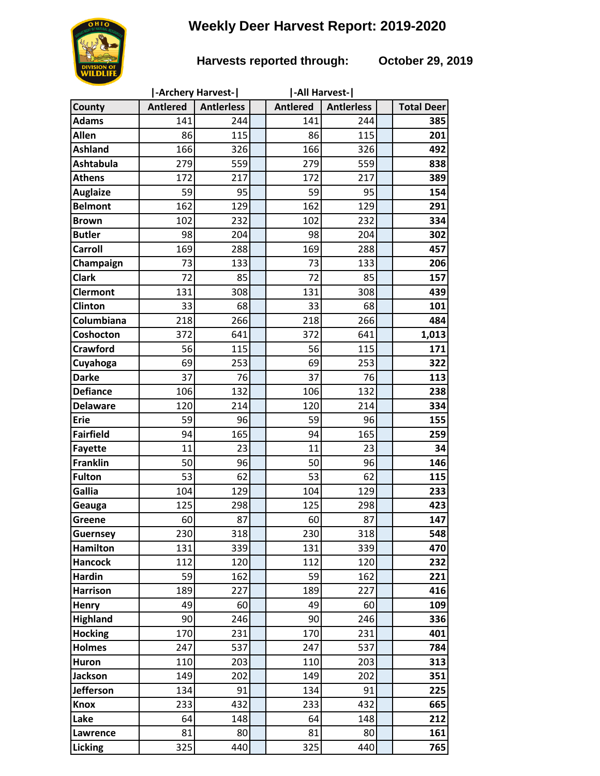# **Weekly Deer Harvest Report: 2019-2020**

## **Harvests reported through: October 29, 2019**

|                                    | -Archery Harvest- |                   |  | -All Harvest-   |                   |  |                   |
|------------------------------------|-------------------|-------------------|--|-----------------|-------------------|--|-------------------|
| County                             | <b>Antlered</b>   | <b>Antierless</b> |  | <b>Antlered</b> | <b>Antlerless</b> |  | <b>Total Deer</b> |
| <b>Adams</b>                       | 141               | 244               |  | 141             | 244               |  | 385               |
| <b>Allen</b>                       | 86                | 115               |  | 86              | 115               |  | 201               |
| <b>Ashland</b>                     | 166               | 326               |  | 166             | 326               |  | 492               |
| <b>Ashtabula</b>                   | 279               | 559               |  | 279             | 559               |  | 838               |
| <b>Athens</b>                      | 172               | 217               |  | 172             | 217               |  | 389               |
| <b>Auglaize</b>                    | 59                | 95                |  | 59              | 95                |  | 154               |
| <b>Belmont</b>                     | 162               | 129               |  | 162             | 129               |  | 291               |
| <b>Brown</b>                       | 102               | 232               |  | 102             | 232               |  | 334               |
| <b>Butler</b>                      | 98                | 204               |  | 98              | 204               |  | 302               |
| <b>Carroll</b>                     | 169               | 288               |  | 169             | 288               |  | 457               |
| Champaign                          | 73                | 133               |  | 73              | 133               |  | 206               |
| <b>Clark</b>                       | 72                | 85                |  | 72              | 85                |  | 157               |
| <b>Clermont</b>                    | 131               | 308               |  | 131             | 308               |  | 439               |
| Clinton                            | 33                | 68                |  | 33              | 68                |  | 101               |
| Columbiana                         | 218               | 266               |  | 218             | 266               |  | 484               |
| Coshocton                          | 372               | 641               |  | 372             | 641               |  | 1,013             |
| <b>Crawford</b>                    | 56                | 115               |  | 56              | 115               |  | 171               |
| Cuyahoga                           | 69                | 253               |  | 69              | 253               |  | 322               |
| <b>Darke</b>                       | 37                | 76                |  | 37              | 76                |  | 113               |
| <b>Defiance</b>                    | 106               | 132               |  | 106             | 132               |  | 238               |
| <b>Delaware</b>                    | 120               | 214               |  | 120             | 214               |  | 334               |
| <b>Erie</b>                        | 59                | 96                |  | 59              | 96                |  | 155               |
| <b>Fairfield</b>                   | 94                | 165               |  | 94              | 165               |  | 259               |
| <b>Fayette</b>                     | 11                | 23                |  | 11              | 23                |  | 34                |
| <b>Franklin</b>                    | 50                | 96                |  | 50              | 96                |  | 146               |
| <b>Fulton</b>                      | 53                | 62                |  | 53              | 62                |  | 115               |
| Gallia                             | 104               | 129               |  | 104             | 129               |  | 233               |
| Geauga                             | 125               | 298               |  | 125             | 298               |  | 423               |
| Greene                             | 60<br>230         | 87<br>318         |  | 60<br>230       | 87<br>318         |  | 147<br>548        |
| <b>Guernsey</b><br><b>Hamilton</b> | 131               | 339               |  | 131             | 339               |  | 470               |
| <b>Hancock</b>                     | 112               | 120               |  | 112             | 120               |  | 232               |
| <b>Hardin</b>                      | 59                | 162               |  | 59              | 162               |  | 221               |
| <b>Harrison</b>                    | 189               | 227               |  | 189             | 227               |  | 416               |
| Henry                              | 49                | 60                |  | 49              | 60                |  | 109               |
| <b>Highland</b>                    | 90                | 246               |  | 90              | 246               |  | 336               |
| <b>Hocking</b>                     | 170               | 231               |  | 170             | 231               |  | 401               |
| <b>Holmes</b>                      | 247               | 537               |  | 247             | 537               |  | 784               |
| <b>Huron</b>                       | 110               | 203               |  | 110             | 203               |  | 313               |
| <b>Jackson</b>                     | 149               | 202               |  | 149             | 202               |  | 351               |
| <b>Jefferson</b>                   | 134               | 91                |  | 134             | 91                |  | 225               |
| <b>Knox</b>                        | 233               | 432               |  | 233             | 432               |  | 665               |
| Lake                               | 64                | 148               |  | 64              | 148               |  | 212               |
| Lawrence                           | 81                | 80                |  | 81              | 80                |  | 161               |
| Licking                            | 325               | 440               |  | 325             | 440               |  | 765               |